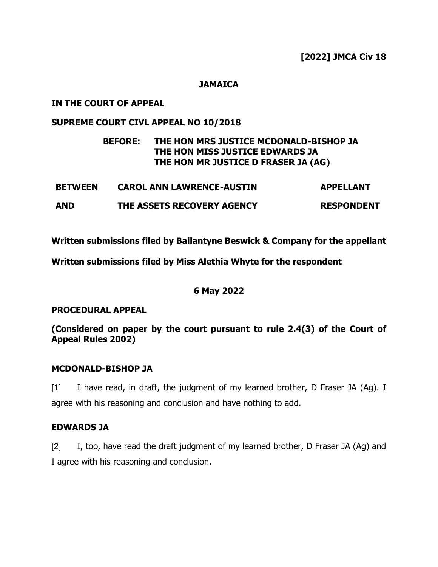**[2022] JMCA Civ 18**

#### **JAMAICA**

#### **IN THE COURT OF APPEAL**

#### **SUPREME COURT CIVL APPEAL NO 10/2018**

### **BEFORE: THE HON MRS JUSTICE MCDONALD-BISHOP JA THE HON MISS JUSTICE EDWARDS JA THE HON MR JUSTICE D FRASER JA (AG)**

| <b>BETWEEN</b> | <b>CAROL ANN LAWRENCE-AUSTIN</b> | <b>APPELLANT</b>  |
|----------------|----------------------------------|-------------------|
| <b>AND</b>     | THE ASSETS RECOVERY AGENCY       | <b>RESPONDENT</b> |

**Written submissions filed by Ballantyne Beswick & Company for the appellant**

**Written submissions filed by Miss Alethia Whyte for the respondent**

#### **6 May 2022**

#### **PROCEDURAL APPEAL**

**(Considered on paper by the court pursuant to rule 2.4(3) of the Court of Appeal Rules 2002)**

#### **MCDONALD-BISHOP JA**

[1] I have read, in draft, the judgment of my learned brother, D Fraser JA (Ag). I agree with his reasoning and conclusion and have nothing to add.

#### **EDWARDS JA**

[2] I, too, have read the draft judgment of my learned brother, D Fraser JA (Ag) and I agree with his reasoning and conclusion.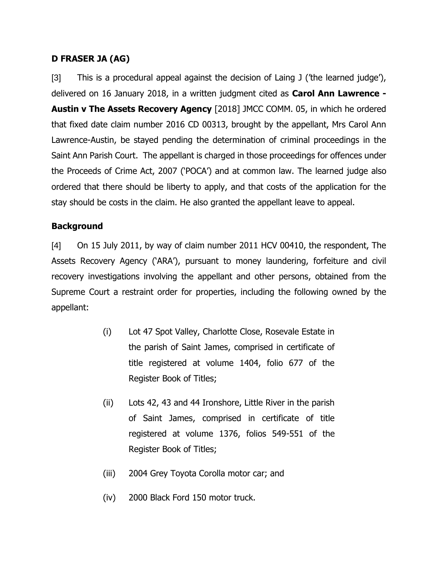## **D FRASER JA (AG)**

[3] This is a procedural appeal against the decision of Laing J ('the learned judge'), delivered on 16 January 2018, in a written judgment cited as **Carol Ann Lawrence - Austin v The Assets Recovery Agency** [2018] JMCC COMM. 05, in which he ordered that fixed date claim number 2016 CD 00313, brought by the appellant, Mrs Carol Ann Lawrence-Austin, be stayed pending the determination of criminal proceedings in the Saint Ann Parish Court. The appellant is charged in those proceedings for offences under the Proceeds of Crime Act, 2007 ('POCA') and at common law. The learned judge also ordered that there should be liberty to apply, and that costs of the application for the stay should be costs in the claim. He also granted the appellant leave to appeal.

### **Background**

[4] On 15 July 2011, by way of claim number 2011 HCV 00410, the respondent, The Assets Recovery Agency ('ARA'), pursuant to money laundering, forfeiture and civil recovery investigations involving the appellant and other persons, obtained from the Supreme Court a restraint order for properties, including the following owned by the appellant:

- (i) Lot 47 Spot Valley, Charlotte Close, Rosevale Estate in the parish of Saint James, comprised in certificate of title registered at volume 1404, folio 677 of the Register Book of Titles;
- (ii) Lots 42, 43 and 44 Ironshore, Little River in the parish of Saint James, comprised in certificate of title registered at volume 1376, folios 549-551 of the Register Book of Titles;
- (iii) 2004 Grey Toyota Corolla motor car; and
- (iv) 2000 Black Ford 150 motor truck.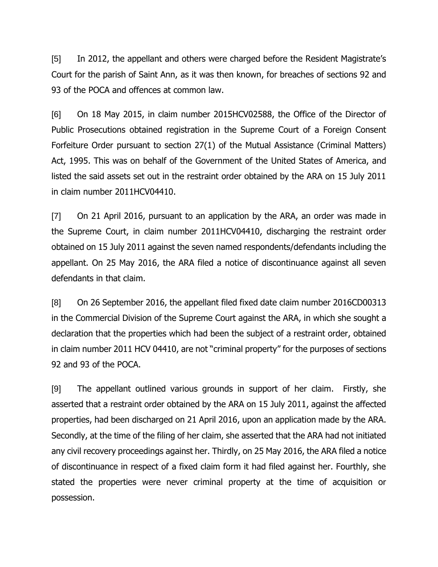[5] In 2012, the appellant and others were charged before the Resident Magistrate's Court for the parish of Saint Ann, as it was then known, for breaches of sections 92 and 93 of the POCA and offences at common law.

[6] On 18 May 2015, in claim number 2015HCV02588, the Office of the Director of Public Prosecutions obtained registration in the Supreme Court of a Foreign Consent Forfeiture Order pursuant to section 27(1) of the Mutual Assistance (Criminal Matters) Act, 1995. This was on behalf of the Government of the United States of America, and listed the said assets set out in the restraint order obtained by the ARA on 15 July 2011 in claim number 2011HCV04410.

[7] On 21 April 2016, pursuant to an application by the ARA, an order was made in the Supreme Court, in claim number 2011HCV04410, discharging the restraint order obtained on 15 July 2011 against the seven named respondents/defendants including the appellant. On 25 May 2016, the ARA filed a notice of discontinuance against all seven defendants in that claim.

[8] On 26 September 2016, the appellant filed fixed date claim number 2016CD00313 in the Commercial Division of the Supreme Court against the ARA, in which she sought a declaration that the properties which had been the subject of a restraint order, obtained in claim number 2011 HCV 04410, are not "criminal property" for the purposes of sections 92 and 93 of the POCA.

[9] The appellant outlined various grounds in support of her claim. Firstly, she asserted that a restraint order obtained by the ARA on 15 July 2011, against the affected properties, had been discharged on 21 April 2016, upon an application made by the ARA. Secondly, at the time of the filing of her claim, she asserted that the ARA had not initiated any civil recovery proceedings against her. Thirdly, on 25 May 2016, the ARA filed a notice of discontinuance in respect of a fixed claim form it had filed against her. Fourthly, she stated the properties were never criminal property at the time of acquisition or possession.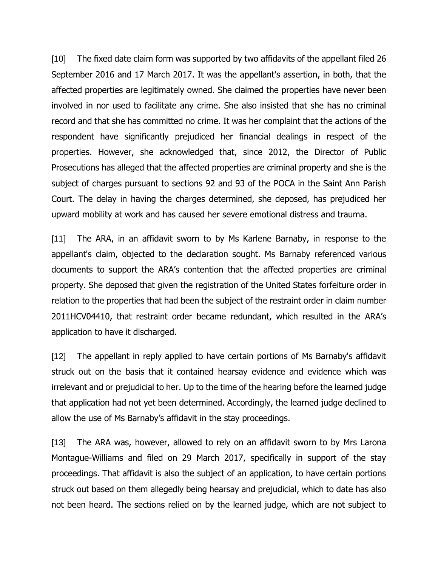[10] The fixed date claim form was supported by two affidavits of the appellant filed 26 September 2016 and 17 March 2017. It was the appellant's assertion, in both, that the affected properties are legitimately owned. She claimed the properties have never been involved in nor used to facilitate any crime. She also insisted that she has no criminal record and that she has committed no crime. It was her complaint that the actions of the respondent have significantly prejudiced her financial dealings in respect of the properties. However, she acknowledged that, since 2012, the Director of Public Prosecutions has alleged that the affected properties are criminal property and she is the subject of charges pursuant to sections 92 and 93 of the POCA in the Saint Ann Parish Court. The delay in having the charges determined, she deposed, has prejudiced her upward mobility at work and has caused her severe emotional distress and trauma.

[11] The ARA, in an affidavit sworn to by Ms Karlene Barnaby, in response to the appellant's claim, objected to the declaration sought. Ms Barnaby referenced various documents to support the ARA's contention that the affected properties are criminal property. She deposed that given the registration of the United States forfeiture order in relation to the properties that had been the subject of the restraint order in claim number 2011HCV04410, that restraint order became redundant, which resulted in the ARA's application to have it discharged.

[12] The appellant in reply applied to have certain portions of Ms Barnaby's affidavit struck out on the basis that it contained hearsay evidence and evidence which was irrelevant and or prejudicial to her. Up to the time of the hearing before the learned judge that application had not yet been determined. Accordingly, the learned judge declined to allow the use of Ms Barnaby's affidavit in the stay proceedings.

[13] The ARA was, however, allowed to rely on an affidavit sworn to by Mrs Larona Montague-Williams and filed on 29 March 2017, specifically in support of the stay proceedings. That affidavit is also the subject of an application, to have certain portions struck out based on them allegedly being hearsay and prejudicial, which to date has also not been heard. The sections relied on by the learned judge, which are not subject to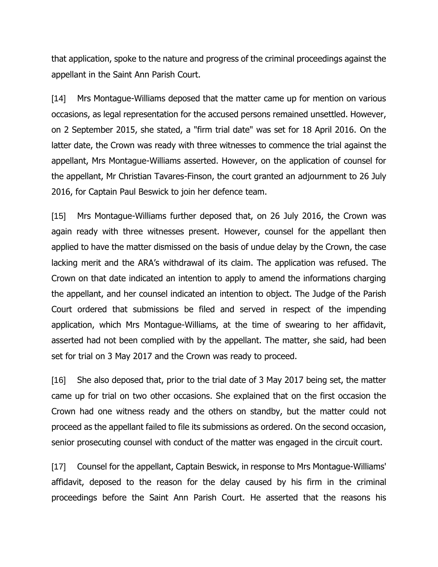that application, spoke to the nature and progress of the criminal proceedings against the appellant in the Saint Ann Parish Court.

[14] Mrs Montague-Williams deposed that the matter came up for mention on various occasions, as legal representation for the accused persons remained unsettled. However, on 2 September 2015, she stated, a "firm trial date" was set for 18 April 2016. On the latter date, the Crown was ready with three witnesses to commence the trial against the appellant, Mrs Montague-Williams asserted. However, on the application of counsel for the appellant, Mr Christian Tavares-Finson, the court granted an adjournment to 26 July 2016, for Captain Paul Beswick to join her defence team.

[15] Mrs Montague-Williams further deposed that, on 26 July 2016, the Crown was again ready with three witnesses present. However, counsel for the appellant then applied to have the matter dismissed on the basis of undue delay by the Crown, the case lacking merit and the ARA's withdrawal of its claim. The application was refused. The Crown on that date indicated an intention to apply to amend the informations charging the appellant, and her counsel indicated an intention to object. The Judge of the Parish Court ordered that submissions be filed and served in respect of the impending application, which Mrs Montague-Williams, at the time of swearing to her affidavit, asserted had not been complied with by the appellant. The matter, she said, had been set for trial on 3 May 2017 and the Crown was ready to proceed.

[16] She also deposed that, prior to the trial date of 3 May 2017 being set, the matter came up for trial on two other occasions. She explained that on the first occasion the Crown had one witness ready and the others on standby, but the matter could not proceed as the appellant failed to file its submissions as ordered. On the second occasion, senior prosecuting counsel with conduct of the matter was engaged in the circuit court.

[17] Counsel for the appellant, Captain Beswick, in response to Mrs Montague-Williams' affidavit, deposed to the reason for the delay caused by his firm in the criminal proceedings before the Saint Ann Parish Court. He asserted that the reasons his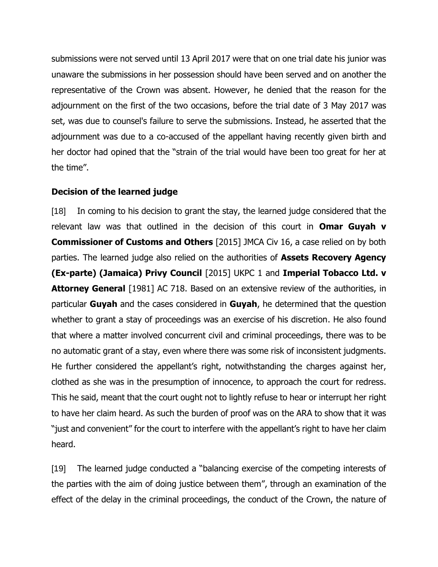submissions were not served until 13 April 2017 were that on one trial date his junior was unaware the submissions in her possession should have been served and on another the representative of the Crown was absent. However, he denied that the reason for the adjournment on the first of the two occasions, before the trial date of 3 May 2017 was set, was due to counsel's failure to serve the submissions. Instead, he asserted that the adjournment was due to a co-accused of the appellant having recently given birth and her doctor had opined that the "strain of the trial would have been too great for her at the time".

### **Decision of the learned judge**

[18] In coming to his decision to grant the stay, the learned judge considered that the relevant law was that outlined in the decision of this court in **Omar Guyah v Commissioner of Customs and Others** [2015] JMCA Civ 16, a case relied on by both parties. The learned judge also relied on the authorities of **Assets Recovery Agency (Ex-parte) (Jamaica) Privy Council** [2015] UKPC 1 and **Imperial Tobacco Ltd. v Attorney General** [1981] AC 718. Based on an extensive review of the authorities, in particular **Guyah** and the cases considered in **Guyah**, he determined that the question whether to grant a stay of proceedings was an exercise of his discretion. He also found that where a matter involved concurrent civil and criminal proceedings, there was to be no automatic grant of a stay, even where there was some risk of inconsistent judgments. He further considered the appellant's right, notwithstanding the charges against her, clothed as she was in the presumption of innocence, to approach the court for redress. This he said, meant that the court ought not to lightly refuse to hear or interrupt her right to have her claim heard. As such the burden of proof was on the ARA to show that it was "just and convenient" for the court to interfere with the appellant's right to have her claim heard.

[19] The learned judge conducted a "balancing exercise of the competing interests of the parties with the aim of doing justice between them", through an examination of the effect of the delay in the criminal proceedings, the conduct of the Crown, the nature of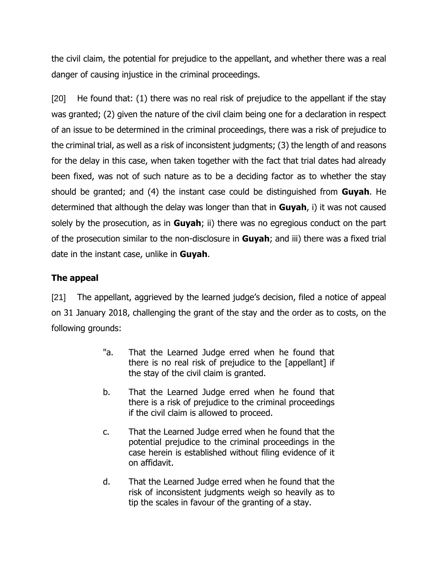the civil claim, the potential for prejudice to the appellant, and whether there was a real danger of causing injustice in the criminal proceedings.

[20] He found that: (1) there was no real risk of prejudice to the appellant if the stay was granted; (2) given the nature of the civil claim being one for a declaration in respect of an issue to be determined in the criminal proceedings, there was a risk of prejudice to the criminal trial, as well as a risk of inconsistent judgments; (3) the length of and reasons for the delay in this case, when taken together with the fact that trial dates had already been fixed, was not of such nature as to be a deciding factor as to whether the stay should be granted; and (4) the instant case could be distinguished from **Guyah**. He determined that although the delay was longer than that in **Guyah**, i) it was not caused solely by the prosecution, as in **Guyah**; ii) there was no egregious conduct on the part of the prosecution similar to the non-disclosure in **Guyah**; and iii) there was a fixed trial date in the instant case, unlike in **Guyah**.

## **The appeal**

[21] The appellant, aggrieved by the learned judge's decision, filed a notice of appeal on 31 January 2018, challenging the grant of the stay and the order as to costs, on the following grounds:

- "a. That the Learned Judge erred when he found that there is no real risk of prejudice to the [appellant] if the stay of the civil claim is granted.
- b. That the Learned Judge erred when he found that there is a risk of prejudice to the criminal proceedings if the civil claim is allowed to proceed.
- c. That the Learned Judge erred when he found that the potential prejudice to the criminal proceedings in the case herein is established without filing evidence of it on affidavit.
- d. That the Learned Judge erred when he found that the risk of inconsistent judgments weigh so heavily as to tip the scales in favour of the granting of a stay.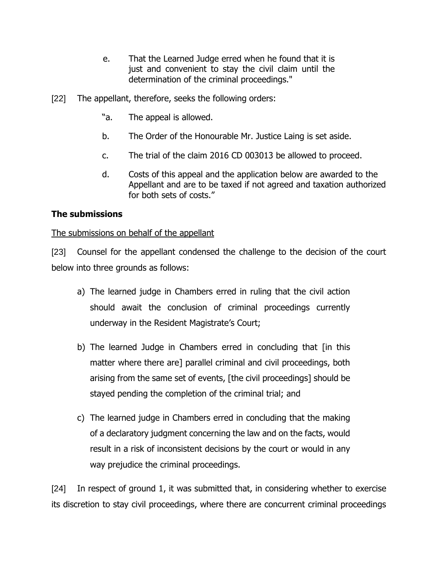- e. That the Learned Judge erred when he found that it is just and convenient to stay the civil claim until the determination of the criminal proceedings."
- [22] The appellant, therefore, seeks the following orders:
	- "a. The appeal is allowed.
	- b. The Order of the Honourable Mr. Justice Laing is set aside.
	- c. The trial of the claim 2016 CD 003013 be allowed to proceed.
	- d. Costs of this appeal and the application below are awarded to the Appellant and are to be taxed if not agreed and taxation authorized for both sets of costs."

## **The submissions**

### The submissions on behalf of the appellant

[23] Counsel for the appellant condensed the challenge to the decision of the court below into three grounds as follows:

- a) The learned judge in Chambers erred in ruling that the civil action should await the conclusion of criminal proceedings currently underway in the Resident Magistrate's Court;
- b) The learned Judge in Chambers erred in concluding that [in this matter where there are] parallel criminal and civil proceedings, both arising from the same set of events, [the civil proceedings] should be stayed pending the completion of the criminal trial; and
- c) The learned judge in Chambers erred in concluding that the making of a declaratory judgment concerning the law and on the facts, would result in a risk of inconsistent decisions by the court or would in any way prejudice the criminal proceedings.

[24] In respect of ground 1, it was submitted that, in considering whether to exercise its discretion to stay civil proceedings, where there are concurrent criminal proceedings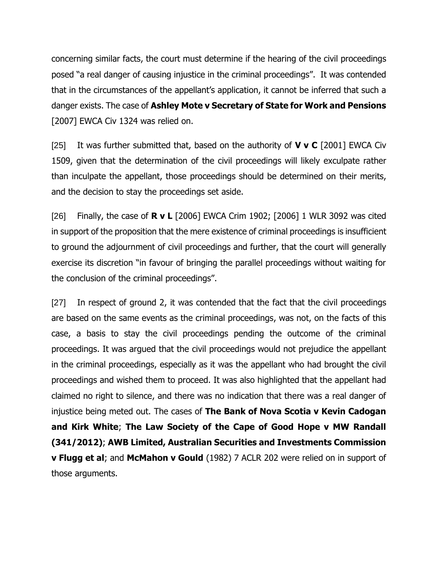concerning similar facts, the court must determine if the hearing of the civil proceedings posed "a real danger of causing injustice in the criminal proceedings". It was contended that in the circumstances of the appellant's application, it cannot be inferred that such a danger exists. The case of **Ashley Mote v Secretary of State for Work and Pensions** [2007] EWCA Civ 1324 was relied on.

[25] It was further submitted that, based on the authority of **V v C** [2001] EWCA Civ 1509, given that the determination of the civil proceedings will likely exculpate rather than inculpate the appellant, those proceedings should be determined on their merits, and the decision to stay the proceedings set aside.

[26] Finally, the case of **R v L** [2006] EWCA Crim 1902; [2006] 1 WLR 3092 was cited in support of the proposition that the mere existence of criminal proceedings is insufficient to ground the adjournment of civil proceedings and further, that the court will generally exercise its discretion "in favour of bringing the parallel proceedings without waiting for the conclusion of the criminal proceedings".

[27] In respect of ground 2, it was contended that the fact that the civil proceedings are based on the same events as the criminal proceedings, was not, on the facts of this case, a basis to stay the civil proceedings pending the outcome of the criminal proceedings. It was argued that the civil proceedings would not prejudice the appellant in the criminal proceedings, especially as it was the appellant who had brought the civil proceedings and wished them to proceed. It was also highlighted that the appellant had claimed no right to silence, and there was no indication that there was a real danger of injustice being meted out. The cases of **The Bank of Nova Scotia v Kevin Cadogan and Kirk White**; **The Law Society of the Cape of Good Hope v MW Randall (341/2012)**; **AWB Limited, Australian Securities and Investments Commission v Flugg et al**; and **McMahon v Gould** (1982) 7 ACLR 202 were relied on in support of those arguments.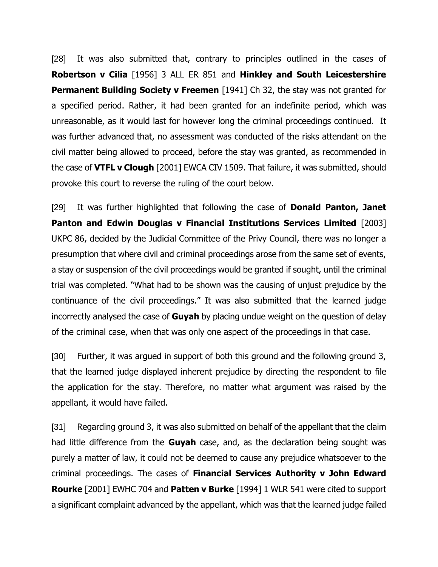[28] It was also submitted that, contrary to principles outlined in the cases of **Robertson v Cilia** [1956] 3 ALL ER 851 and **Hinkley and South Leicestershire Permanent Building Society v Freemen** [1941] Ch 32, the stay was not granted for a specified period. Rather, it had been granted for an indefinite period, which was unreasonable, as it would last for however long the criminal proceedings continued. It was further advanced that, no assessment was conducted of the risks attendant on the civil matter being allowed to proceed, before the stay was granted, as recommended in the case of **VTFL v Clough** [2001] EWCA CIV 1509. That failure, it was submitted, should provoke this court to reverse the ruling of the court below.

[29] It was further highlighted that following the case of **Donald Panton, Janet Panton and Edwin Douglas v Financial Institutions Services Limited** [2003] UKPC 86, decided by the Judicial Committee of the Privy Council, there was no longer a presumption that where civil and criminal proceedings arose from the same set of events, a stay or suspension of the civil proceedings would be granted if sought, until the criminal trial was completed. "What had to be shown was the causing of unjust prejudice by the continuance of the civil proceedings." It was also submitted that the learned judge incorrectly analysed the case of **Guyah** by placing undue weight on the question of delay of the criminal case, when that was only one aspect of the proceedings in that case.

[30] Further, it was argued in support of both this ground and the following ground 3, that the learned judge displayed inherent prejudice by directing the respondent to file the application for the stay. Therefore, no matter what argument was raised by the appellant, it would have failed.

[31] Regarding ground 3, it was also submitted on behalf of the appellant that the claim had little difference from the **Guyah** case, and, as the declaration being sought was purely a matter of law, it could not be deemed to cause any prejudice whatsoever to the criminal proceedings. The cases of **Financial Services Authority v John Edward Rourke** [2001] EWHC 704 and **Patten v Burke** [1994] 1 WLR 541 were cited to support a significant complaint advanced by the appellant, which was that the learned judge failed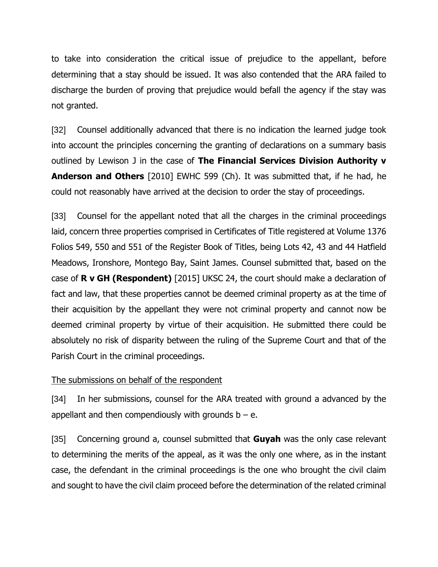to take into consideration the critical issue of prejudice to the appellant, before determining that a stay should be issued. It was also contended that the ARA failed to discharge the burden of proving that prejudice would befall the agency if the stay was not granted.

[32] Counsel additionally advanced that there is no indication the learned judge took into account the principles concerning the granting of declarations on a summary basis outlined by Lewison J in the case of **The Financial Services Division Authority v Anderson and Others** [2010] EWHC 599 (Ch). It was submitted that, if he had, he could not reasonably have arrived at the decision to order the stay of proceedings.

[33] Counsel for the appellant noted that all the charges in the criminal proceedings laid, concern three properties comprised in Certificates of Title registered at Volume 1376 Folios 549, 550 and 551 of the Register Book of Titles, being Lots 42, 43 and 44 Hatfield Meadows, Ironshore, Montego Bay, Saint James. Counsel submitted that, based on the case of **R v GH (Respondent)** [2015] UKSC 24, the court should make a declaration of fact and law, that these properties cannot be deemed criminal property as at the time of their acquisition by the appellant they were not criminal property and cannot now be deemed criminal property by virtue of their acquisition. He submitted there could be absolutely no risk of disparity between the ruling of the Supreme Court and that of the Parish Court in the criminal proceedings.

#### The submissions on behalf of the respondent

[34] In her submissions, counsel for the ARA treated with ground a advanced by the appellant and then compendiously with grounds  $b - e$ .

[35] Concerning ground a, counsel submitted that **Guyah** was the only case relevant to determining the merits of the appeal, as it was the only one where, as in the instant case, the defendant in the criminal proceedings is the one who brought the civil claim and sought to have the civil claim proceed before the determination of the related criminal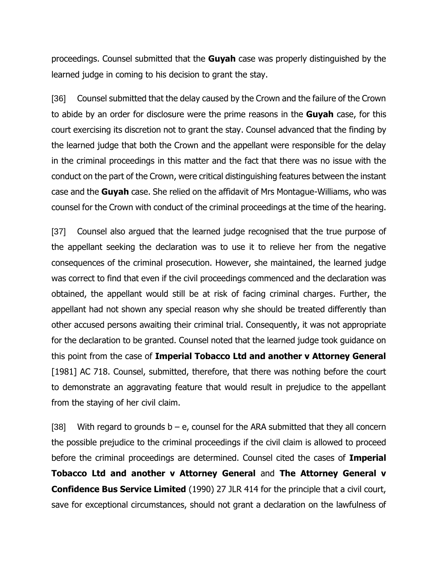proceedings. Counsel submitted that the **Guyah** case was properly distinguished by the learned judge in coming to his decision to grant the stay.

[36] Counsel submitted that the delay caused by the Crown and the failure of the Crown to abide by an order for disclosure were the prime reasons in the **Guyah** case, for this court exercising its discretion not to grant the stay. Counsel advanced that the finding by the learned judge that both the Crown and the appellant were responsible for the delay in the criminal proceedings in this matter and the fact that there was no issue with the conduct on the part of the Crown, were critical distinguishing features between the instant case and the **Guyah** case. She relied on the affidavit of Mrs Montague-Williams, who was counsel for the Crown with conduct of the criminal proceedings at the time of the hearing.

[37] Counsel also argued that the learned judge recognised that the true purpose of the appellant seeking the declaration was to use it to relieve her from the negative consequences of the criminal prosecution. However, she maintained, the learned judge was correct to find that even if the civil proceedings commenced and the declaration was obtained, the appellant would still be at risk of facing criminal charges. Further, the appellant had not shown any special reason why she should be treated differently than other accused persons awaiting their criminal trial. Consequently, it was not appropriate for the declaration to be granted. Counsel noted that the learned judge took guidance on this point from the case of **Imperial Tobacco Ltd and another v Attorney General** [1981] AC 718. Counsel, submitted, therefore, that there was nothing before the court to demonstrate an aggravating feature that would result in prejudice to the appellant from the staying of her civil claim.

[38] With regard to grounds  $b - e$ , counsel for the ARA submitted that they all concern the possible prejudice to the criminal proceedings if the civil claim is allowed to proceed before the criminal proceedings are determined. Counsel cited the cases of **Imperial Tobacco Ltd and another v Attorney General** and **The Attorney General v Confidence Bus Service Limited** (1990) 27 JLR 414 for the principle that a civil court, save for exceptional circumstances, should not grant a declaration on the lawfulness of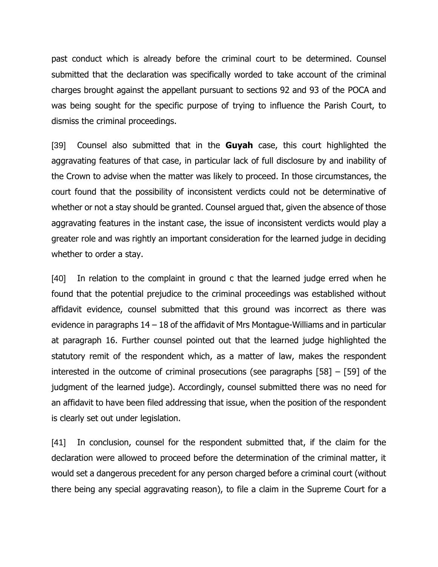past conduct which is already before the criminal court to be determined. Counsel submitted that the declaration was specifically worded to take account of the criminal charges brought against the appellant pursuant to sections 92 and 93 of the POCA and was being sought for the specific purpose of trying to influence the Parish Court, to dismiss the criminal proceedings.

[39] Counsel also submitted that in the **Guyah** case, this court highlighted the aggravating features of that case, in particular lack of full disclosure by and inability of the Crown to advise when the matter was likely to proceed. In those circumstances, the court found that the possibility of inconsistent verdicts could not be determinative of whether or not a stay should be granted. Counsel argued that, given the absence of those aggravating features in the instant case, the issue of inconsistent verdicts would play a greater role and was rightly an important consideration for the learned judge in deciding whether to order a stay.

[40] In relation to the complaint in ground c that the learned judge erred when he found that the potential prejudice to the criminal proceedings was established without affidavit evidence, counsel submitted that this ground was incorrect as there was evidence in paragraphs 14 – 18 of the affidavit of Mrs Montague-Williams and in particular at paragraph 16. Further counsel pointed out that the learned judge highlighted the statutory remit of the respondent which, as a matter of law, makes the respondent interested in the outcome of criminal prosecutions (see paragraphs [58] – [59] of the judgment of the learned judge). Accordingly, counsel submitted there was no need for an affidavit to have been filed addressing that issue, when the position of the respondent is clearly set out under legislation.

[41] In conclusion, counsel for the respondent submitted that, if the claim for the declaration were allowed to proceed before the determination of the criminal matter, it would set a dangerous precedent for any person charged before a criminal court (without there being any special aggravating reason), to file a claim in the Supreme Court for a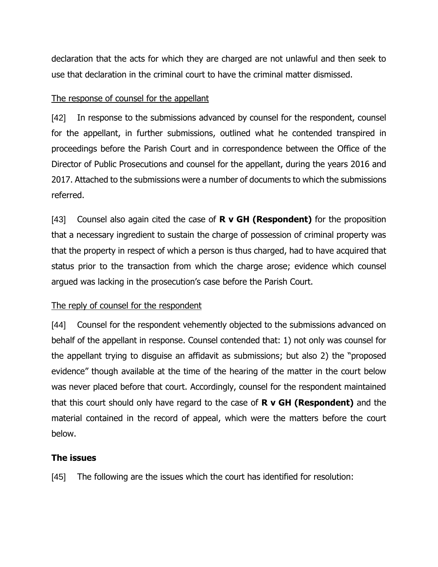declaration that the acts for which they are charged are not unlawful and then seek to use that declaration in the criminal court to have the criminal matter dismissed.

#### The response of counsel for the appellant

[42] In response to the submissions advanced by counsel for the respondent, counsel for the appellant, in further submissions, outlined what he contended transpired in proceedings before the Parish Court and in correspondence between the Office of the Director of Public Prosecutions and counsel for the appellant, during the years 2016 and 2017. Attached to the submissions were a number of documents to which the submissions referred.

[43] Counsel also again cited the case of **R v GH (Respondent)** for the proposition that a necessary ingredient to sustain the charge of possession of criminal property was that the property in respect of which a person is thus charged, had to have acquired that status prior to the transaction from which the charge arose; evidence which counsel argued was lacking in the prosecution's case before the Parish Court.

### The reply of counsel for the respondent

[44] Counsel for the respondent vehemently objected to the submissions advanced on behalf of the appellant in response. Counsel contended that: 1) not only was counsel for the appellant trying to disguise an affidavit as submissions; but also 2) the "proposed evidence" though available at the time of the hearing of the matter in the court below was never placed before that court. Accordingly, counsel for the respondent maintained that this court should only have regard to the case of **R v GH (Respondent)** and the material contained in the record of appeal, which were the matters before the court below.

### **The issues**

[45] The following are the issues which the court has identified for resolution: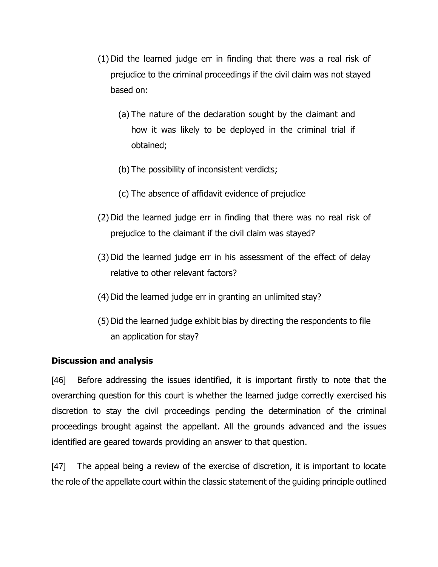- (1) Did the learned judge err in finding that there was a real risk of prejudice to the criminal proceedings if the civil claim was not stayed based on:
	- (a) The nature of the declaration sought by the claimant and how it was likely to be deployed in the criminal trial if obtained;
	- (b) The possibility of inconsistent verdicts;
	- (c) The absence of affidavit evidence of prejudice
- (2) Did the learned judge err in finding that there was no real risk of prejudice to the claimant if the civil claim was stayed?
- (3) Did the learned judge err in his assessment of the effect of delay relative to other relevant factors?
- (4) Did the learned judge err in granting an unlimited stay?
- (5) Did the learned judge exhibit bias by directing the respondents to file an application for stay?

#### **Discussion and analysis**

[46] Before addressing the issues identified, it is important firstly to note that the overarching question for this court is whether the learned judge correctly exercised his discretion to stay the civil proceedings pending the determination of the criminal proceedings brought against the appellant. All the grounds advanced and the issues identified are geared towards providing an answer to that question.

[47] The appeal being a review of the exercise of discretion, it is important to locate the role of the appellate court within the classic statement of the guiding principle outlined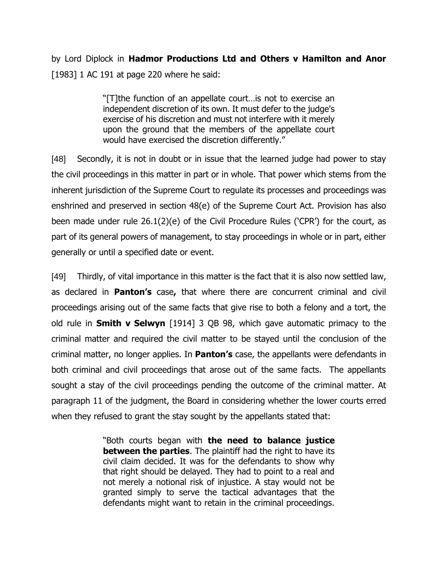by Lord Diplock in **Hadmor Productions Ltd and Others v Hamilton and Anor** [1983] 1 AC 191 at page 220 where he said:

> "[T]the function of an appellate court…is not to exercise an independent discretion of its own. It must defer to the judge's exercise of his discretion and must not interfere with it merely upon the ground that the members of the appellate court would have exercised the discretion differently."

[48] Secondly, it is not in doubt or in issue that the learned judge had power to stay the civil proceedings in this matter in part or in whole. That power which stems from the inherent jurisdiction of the Supreme Court to regulate its processes and proceedings was enshrined and preserved in section 48(e) of the Supreme Court Act. Provision has also been made under rule 26.1(2)(e) of the Civil Procedure Rules ('CPR') for the court, as part of its general powers of management, to stay proceedings in whole or in part, either generally or until a specified date or event.

[49] Thirdly, of vital importance in this matter is the fact that it is also now settled law, as declared in **Panton's** case**,** that where there are concurrent criminal and civil proceedings arising out of the same facts that give rise to both a felony and a tort, the old rule in **Smith v Selwyn** [1914] 3 QB 98, which gave automatic primacy to the criminal matter and required the civil matter to be stayed until the conclusion of the criminal matter, no longer applies. In **Panton's** case, the appellants were defendants in both criminal and civil proceedings that arose out of the same facts. The appellants sought a stay of the civil proceedings pending the outcome of the criminal matter. At paragraph 11 of the judgment, the Board in considering whether the lower courts erred when they refused to grant the stay sought by the appellants stated that:

> "Both courts began with **the need to balance justice between the parties**. The plaintiff had the right to have its civil claim decided. It was for the defendants to show why that right should be delayed. They had to point to a real and not merely a notional risk of injustice. A stay would not be granted simply to serve the tactical advantages that the defendants might want to retain in the criminal proceedings.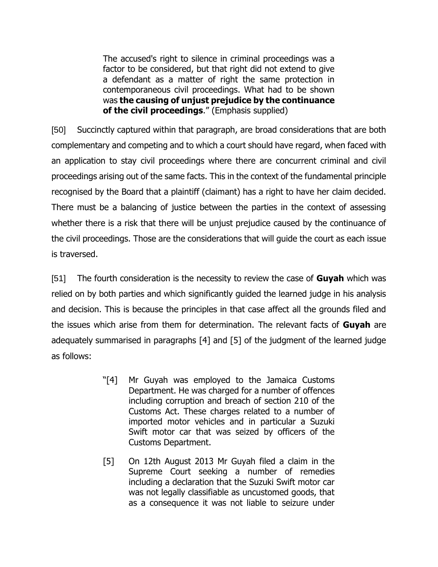The accused's right to silence in criminal proceedings was a factor to be considered, but that right did not extend to give a defendant as a matter of right the same protection in contemporaneous civil proceedings. What had to be shown was **the causing of unjust prejudice by the continuance of the civil proceedings**." (Emphasis supplied)

[50] Succinctly captured within that paragraph, are broad considerations that are both complementary and competing and to which a court should have regard, when faced with an application to stay civil proceedings where there are concurrent criminal and civil proceedings arising out of the same facts. This in the context of the fundamental principle recognised by the Board that a plaintiff (claimant) has a right to have her claim decided. There must be a balancing of justice between the parties in the context of assessing whether there is a risk that there will be unjust prejudice caused by the continuance of the civil proceedings. Those are the considerations that will guide the court as each issue is traversed.

[51] The fourth consideration is the necessity to review the case of **Guyah** which was relied on by both parties and which significantly guided the learned judge in his analysis and decision. This is because the principles in that case affect all the grounds filed and the issues which arise from them for determination. The relevant facts of **Guyah** are adequately summarised in paragraphs [4] and [5] of the judgment of the learned judge as follows:

- "[4] Mr Guyah was employed to the Jamaica Customs Department. He was charged for a number of offences including corruption and breach of section 210 of the Customs Act. These charges related to a number of imported motor vehicles and in particular a Suzuki Swift motor car that was seized by officers of the Customs Department.
- [5] On 12th August 2013 Mr Guyah filed a claim in the Supreme Court seeking a number of remedies including a declaration that the Suzuki Swift motor car was not legally classifiable as uncustomed goods, that as a consequence it was not liable to seizure under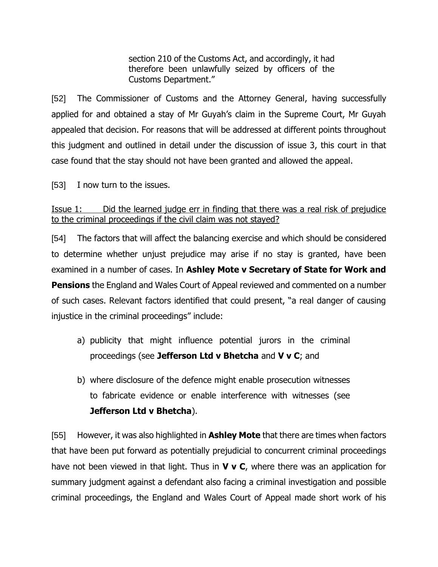section 210 of the Customs Act, and accordingly, it had therefore been unlawfully seized by officers of the Customs Department."

[52] The Commissioner of Customs and the Attorney General, having successfully applied for and obtained a stay of Mr Guyah's claim in the Supreme Court, Mr Guyah appealed that decision. For reasons that will be addressed at different points throughout this judgment and outlined in detail under the discussion of issue 3, this court in that case found that the stay should not have been granted and allowed the appeal.

[53] I now turn to the issues.

### Issue 1: Did the learned judge err in finding that there was a real risk of prejudice to the criminal proceedings if the civil claim was not stayed?

[54] The factors that will affect the balancing exercise and which should be considered to determine whether unjust prejudice may arise if no stay is granted, have been examined in a number of cases. In **Ashley Mote v Secretary of State for Work and Pensions** the England and Wales Court of Appeal reviewed and commented on a number of such cases. Relevant factors identified that could present, "a real danger of causing injustice in the criminal proceedings" include:

- a) publicity that might influence potential jurors in the criminal proceedings (see **Jefferson Ltd v Bhetcha** and **V v C**; and
- b) where disclosure of the defence might enable prosecution witnesses to fabricate evidence or enable interference with witnesses (see **Jefferson Ltd v Bhetcha**).

[55] However, it was also highlighted in **Ashley Mote** that there are times when factors that have been put forward as potentially prejudicial to concurrent criminal proceedings have not been viewed in that light. Thus in **V v C**, where there was an application for summary judgment against a defendant also facing a criminal investigation and possible criminal proceedings, the England and Wales Court of Appeal made short work of his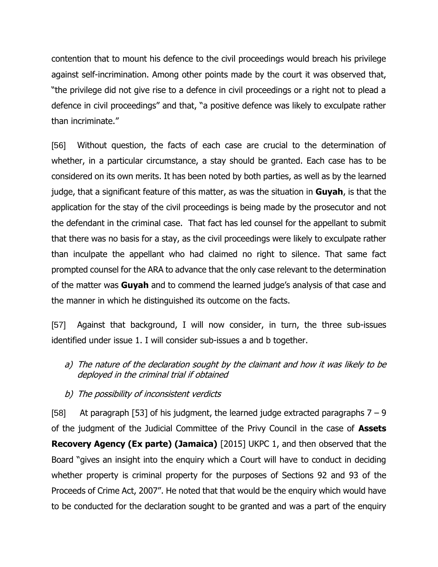contention that to mount his defence to the civil proceedings would breach his privilege against self-incrimination. Among other points made by the court it was observed that, "the privilege did not give rise to a defence in civil proceedings or a right not to plead a defence in civil proceedings" and that, "a positive defence was likely to exculpate rather than incriminate."

[56] Without question, the facts of each case are crucial to the determination of whether, in a particular circumstance, a stay should be granted. Each case has to be considered on its own merits. It has been noted by both parties, as well as by the learned judge, that a significant feature of this matter, as was the situation in **Guyah**, is that the application for the stay of the civil proceedings is being made by the prosecutor and not the defendant in the criminal case. That fact has led counsel for the appellant to submit that there was no basis for a stay, as the civil proceedings were likely to exculpate rather than inculpate the appellant who had claimed no right to silence. That same fact prompted counsel for the ARA to advance that the only case relevant to the determination of the matter was **Guyah** and to commend the learned judge's analysis of that case and the manner in which he distinguished its outcome on the facts.

[57] Against that background, I will now consider, in turn, the three sub-issues identified under issue 1. I will consider sub-issues a and b together.

- a) The nature of the declaration sought by the claimant and how it was likely to be deployed in the criminal trial if obtained
- b) The possibility of inconsistent verdicts

[58] At paragraph [53] of his judgment, the learned judge extracted paragraphs  $7 - 9$ of the judgment of the Judicial Committee of the Privy Council in the case of **Assets Recovery Agency (Ex parte) (Jamaica)** [2015] UKPC 1, and then observed that the Board "gives an insight into the enquiry which a Court will have to conduct in deciding whether property is criminal property for the purposes of Sections 92 and 93 of the Proceeds of Crime Act, 2007". He noted that that would be the enquiry which would have to be conducted for the declaration sought to be granted and was a part of the enquiry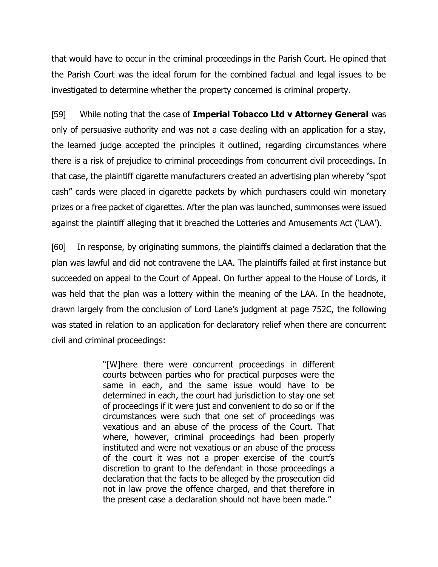that would have to occur in the criminal proceedings in the Parish Court. He opined that the Parish Court was the ideal forum for the combined factual and legal issues to be investigated to determine whether the property concerned is criminal property.

[59] While noting that the case of **Imperial Tobacco Ltd v Attorney General** was only of persuasive authority and was not a case dealing with an application for a stay, the learned judge accepted the principles it outlined, regarding circumstances where there is a risk of prejudice to criminal proceedings from concurrent civil proceedings. In that case, the plaintiff cigarette manufacturers created an advertising plan whereby "spot cash" cards were placed in cigarette packets by which purchasers could win monetary prizes or a free packet of cigarettes. After the plan was launched, summonses were issued against the plaintiff alleging that it breached the Lotteries and Amusements Act ('LAA').

[60] In response, by originating summons, the plaintiffs claimed a declaration that the plan was lawful and did not contravene the LAA. The plaintiffs failed at first instance but succeeded on appeal to the Court of Appeal. On further appeal to the House of Lords, it was held that the plan was a lottery within the meaning of the LAA. In the headnote, drawn largely from the conclusion of Lord Lane's judgment at page 752C, the following was stated in relation to an application for declaratory relief when there are concurrent civil and criminal proceedings:

> "[W]here there were concurrent proceedings in different courts between parties who for practical purposes were the same in each, and the same issue would have to be determined in each, the court had jurisdiction to stay one set of proceedings if it were just and convenient to do so or if the circumstances were such that one set of proceedings was vexatious and an abuse of the process of the Court. That where, however, criminal proceedings had been properly instituted and were not vexatious or an abuse of the process of the court it was not a proper exercise of the court's discretion to grant to the defendant in those proceedings a declaration that the facts to be alleged by the prosecution did not in law prove the offence charged, and that therefore in the present case a declaration should not have been made."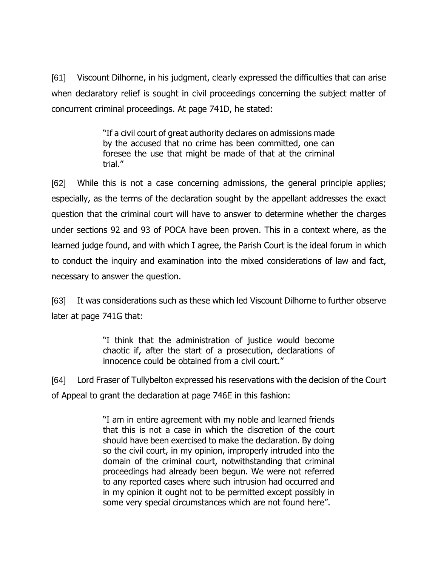[61] Viscount Dilhorne, in his judgment, clearly expressed the difficulties that can arise when declaratory relief is sought in civil proceedings concerning the subject matter of concurrent criminal proceedings. At page 741D, he stated:

> "If a civil court of great authority declares on admissions made by the accused that no crime has been committed, one can foresee the use that might be made of that at the criminal trial."

[62] While this is not a case concerning admissions, the general principle applies; especially, as the terms of the declaration sought by the appellant addresses the exact question that the criminal court will have to answer to determine whether the charges under sections 92 and 93 of POCA have been proven. This in a context where, as the learned judge found, and with which I agree, the Parish Court is the ideal forum in which to conduct the inquiry and examination into the mixed considerations of law and fact, necessary to answer the question.

[63] It was considerations such as these which led Viscount Dilhorne to further observe later at page 741G that:

> "I think that the administration of justice would become chaotic if, after the start of a prosecution, declarations of innocence could be obtained from a civil court."

[64] Lord Fraser of Tullybelton expressed his reservations with the decision of the Court of Appeal to grant the declaration at page 746E in this fashion:

> "I am in entire agreement with my noble and learned friends that this is not a case in which the discretion of the court should have been exercised to make the declaration. By doing so the civil court, in my opinion, improperly intruded into the domain of the criminal court, notwithstanding that criminal proceedings had already been begun. We were not referred to any reported cases where such intrusion had occurred and in my opinion it ought not to be permitted except possibly in some very special circumstances which are not found here".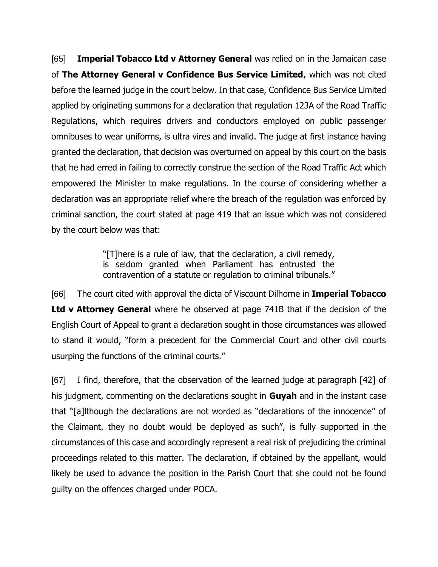[65] **Imperial Tobacco Ltd v Attorney General** was relied on in the Jamaican case of **The Attorney General v Confidence Bus Service Limited**, which was not cited before the learned judge in the court below. In that case, Confidence Bus Service Limited applied by originating summons for a declaration that regulation 123A of the Road Traffic Regulations, which requires drivers and conductors employed on public passenger omnibuses to wear uniforms, is ultra vires and invalid. The judge at first instance having granted the declaration, that decision was overturned on appeal by this court on the basis that he had erred in failing to correctly construe the section of the Road Traffic Act which empowered the Minister to make regulations. In the course of considering whether a declaration was an appropriate relief where the breach of the regulation was enforced by criminal sanction, the court stated at page 419 that an issue which was not considered by the court below was that:

> "[T]here is a rule of law, that the declaration, a civil remedy, is seldom granted when Parliament has entrusted the contravention of a statute or regulation to criminal tribunals."

[66] The court cited with approval the dicta of Viscount Dilhorne in **Imperial Tobacco Ltd v Attorney General** where he observed at page 741B that if the decision of the English Court of Appeal to grant a declaration sought in those circumstances was allowed to stand it would, "form a precedent for the Commercial Court and other civil courts usurping the functions of the criminal courts."

[67] I find, therefore, that the observation of the learned judge at paragraph [42] of his judgment, commenting on the declarations sought in **Guyah** and in the instant case that "[a]lthough the declarations are not worded as "declarations of the innocence" of the Claimant, they no doubt would be deployed as such", is fully supported in the circumstances of this case and accordingly represent a real risk of prejudicing the criminal proceedings related to this matter. The declaration, if obtained by the appellant, would likely be used to advance the position in the Parish Court that she could not be found guilty on the offences charged under POCA.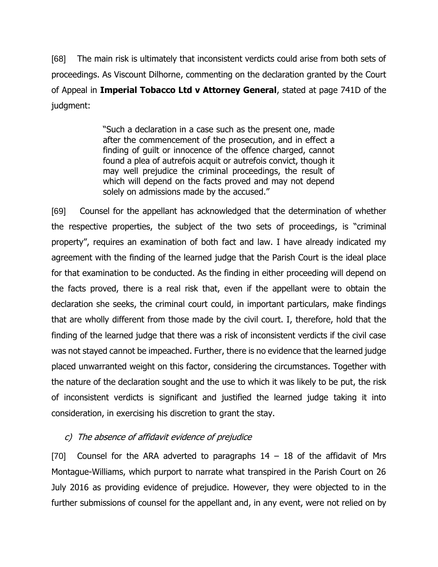[68] The main risk is ultimately that inconsistent verdicts could arise from both sets of proceedings. As Viscount Dilhorne, commenting on the declaration granted by the Court of Appeal in **Imperial Tobacco Ltd v Attorney General**, stated at page 741D of the judgment:

> "Such a declaration in a case such as the present one, made after the commencement of the prosecution, and in effect a finding of guilt or innocence of the offence charged, cannot found a plea of autrefois acquit or autrefois convict, though it may well prejudice the criminal proceedings, the result of which will depend on the facts proved and may not depend solely on admissions made by the accused."

[69] Counsel for the appellant has acknowledged that the determination of whether the respective properties, the subject of the two sets of proceedings, is "criminal property", requires an examination of both fact and law. I have already indicated my agreement with the finding of the learned judge that the Parish Court is the ideal place for that examination to be conducted. As the finding in either proceeding will depend on the facts proved, there is a real risk that, even if the appellant were to obtain the declaration she seeks, the criminal court could, in important particulars, make findings that are wholly different from those made by the civil court. I, therefore, hold that the finding of the learned judge that there was a risk of inconsistent verdicts if the civil case was not stayed cannot be impeached. Further, there is no evidence that the learned judge placed unwarranted weight on this factor, considering the circumstances. Together with the nature of the declaration sought and the use to which it was likely to be put, the risk of inconsistent verdicts is significant and justified the learned judge taking it into consideration, in exercising his discretion to grant the stay.

### c) The absence of affidavit evidence of prejudice

[70] Counsel for the ARA adverted to paragraphs  $14 - 18$  of the affidavit of Mrs Montague-Williams, which purport to narrate what transpired in the Parish Court on 26 July 2016 as providing evidence of prejudice. However, they were objected to in the further submissions of counsel for the appellant and, in any event, were not relied on by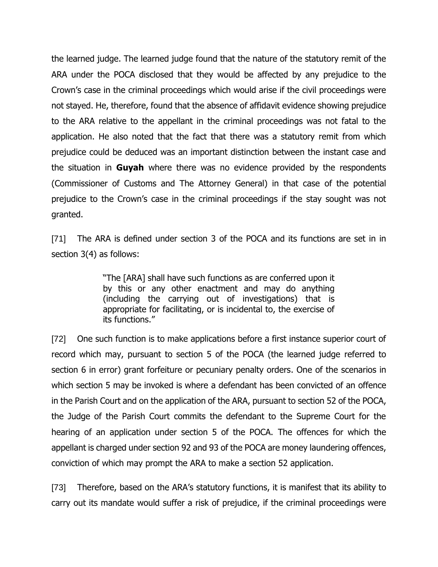the learned judge. The learned judge found that the nature of the statutory remit of the ARA under the POCA disclosed that they would be affected by any prejudice to the Crown's case in the criminal proceedings which would arise if the civil proceedings were not stayed. He, therefore, found that the absence of affidavit evidence showing prejudice to the ARA relative to the appellant in the criminal proceedings was not fatal to the application. He also noted that the fact that there was a statutory remit from which prejudice could be deduced was an important distinction between the instant case and the situation in **Guyah** where there was no evidence provided by the respondents (Commissioner of Customs and The Attorney General) in that case of the potential prejudice to the Crown's case in the criminal proceedings if the stay sought was not granted.

[71] The ARA is defined under section 3 of the POCA and its functions are set in in section 3(4) as follows:

> "The [ARA] shall have such functions as are conferred upon it by this or any other enactment and may do anything (including the carrying out of investigations) that is appropriate for facilitating, or is incidental to, the exercise of its functions."

[72] One such function is to make applications before a first instance superior court of record which may, pursuant to section 5 of the POCA (the learned judge referred to section 6 in error) grant forfeiture or pecuniary penalty orders. One of the scenarios in which section 5 may be invoked is where a defendant has been convicted of an offence in the Parish Court and on the application of the ARA, pursuant to section 52 of the POCA, the Judge of the Parish Court commits the defendant to the Supreme Court for the hearing of an application under section 5 of the POCA. The offences for which the appellant is charged under section 92 and 93 of the POCA are money laundering offences, conviction of which may prompt the ARA to make a section 52 application.

[73] Therefore, based on the ARA's statutory functions, it is manifest that its ability to carry out its mandate would suffer a risk of prejudice, if the criminal proceedings were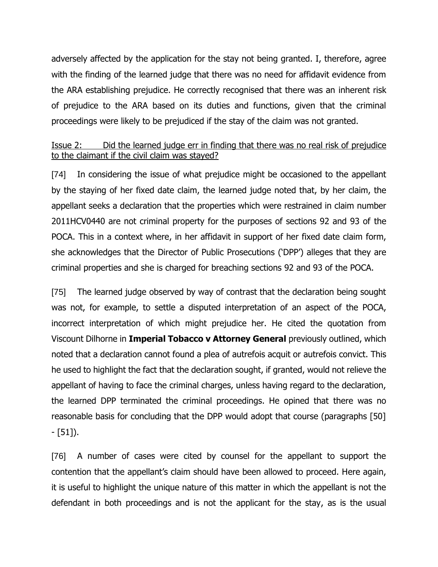adversely affected by the application for the stay not being granted. I, therefore, agree with the finding of the learned judge that there was no need for affidavit evidence from the ARA establishing prejudice. He correctly recognised that there was an inherent risk of prejudice to the ARA based on its duties and functions, given that the criminal proceedings were likely to be prejudiced if the stay of the claim was not granted.

### Issue 2: Did the learned judge err in finding that there was no real risk of prejudice to the claimant if the civil claim was stayed?

[74] In considering the issue of what prejudice might be occasioned to the appellant by the staying of her fixed date claim, the learned judge noted that, by her claim, the appellant seeks a declaration that the properties which were restrained in claim number 2011HCV0440 are not criminal property for the purposes of sections 92 and 93 of the POCA. This in a context where, in her affidavit in support of her fixed date claim form, she acknowledges that the Director of Public Prosecutions ('DPP') alleges that they are criminal properties and she is charged for breaching sections 92 and 93 of the POCA.

[75] The learned judge observed by way of contrast that the declaration being sought was not, for example, to settle a disputed interpretation of an aspect of the POCA, incorrect interpretation of which might prejudice her. He cited the quotation from Viscount Dilhorne in **Imperial Tobacco v Attorney General** previously outlined, which noted that a declaration cannot found a plea of autrefois acquit or autrefois convict. This he used to highlight the fact that the declaration sought, if granted, would not relieve the appellant of having to face the criminal charges, unless having regard to the declaration, the learned DPP terminated the criminal proceedings. He opined that there was no reasonable basis for concluding that the DPP would adopt that course (paragraphs [50] - [51]).

[76] A number of cases were cited by counsel for the appellant to support the contention that the appellant's claim should have been allowed to proceed. Here again, it is useful to highlight the unique nature of this matter in which the appellant is not the defendant in both proceedings and is not the applicant for the stay, as is the usual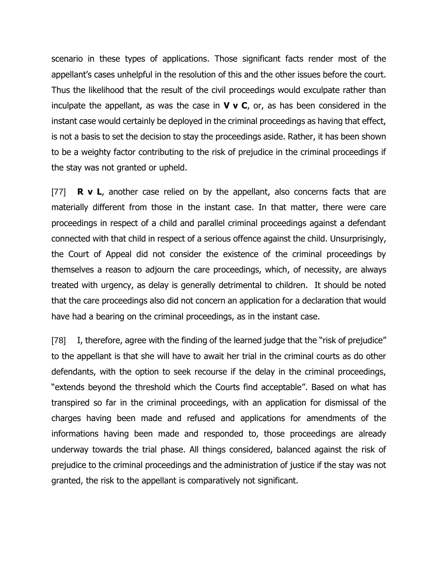scenario in these types of applications. Those significant facts render most of the appellant's cases unhelpful in the resolution of this and the other issues before the court. Thus the likelihood that the result of the civil proceedings would exculpate rather than inculpate the appellant, as was the case in **V v C**, or, as has been considered in the instant case would certainly be deployed in the criminal proceedings as having that effect, is not a basis to set the decision to stay the proceedings aside. Rather, it has been shown to be a weighty factor contributing to the risk of prejudice in the criminal proceedings if the stay was not granted or upheld.

[77] **R v L**, another case relied on by the appellant, also concerns facts that are materially different from those in the instant case. In that matter, there were care proceedings in respect of a child and parallel criminal proceedings against a defendant connected with that child in respect of a serious offence against the child. Unsurprisingly, the Court of Appeal did not consider the existence of the criminal proceedings by themselves a reason to adjourn the care proceedings, which, of necessity, are always treated with urgency, as delay is generally detrimental to children. It should be noted that the care proceedings also did not concern an application for a declaration that would have had a bearing on the criminal proceedings, as in the instant case.

[78] I, therefore, agree with the finding of the learned judge that the "risk of prejudice" to the appellant is that she will have to await her trial in the criminal courts as do other defendants, with the option to seek recourse if the delay in the criminal proceedings, "extends beyond the threshold which the Courts find acceptable". Based on what has transpired so far in the criminal proceedings, with an application for dismissal of the charges having been made and refused and applications for amendments of the informations having been made and responded to, those proceedings are already underway towards the trial phase. All things considered, balanced against the risk of prejudice to the criminal proceedings and the administration of justice if the stay was not granted, the risk to the appellant is comparatively not significant.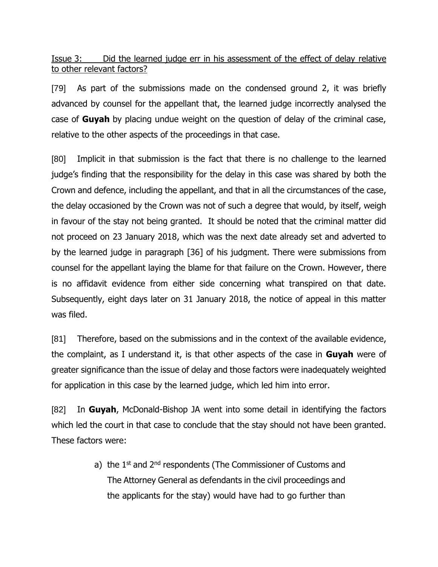Issue 3: Did the learned judge err in his assessment of the effect of delay relative to other relevant factors?

[79] As part of the submissions made on the condensed ground 2, it was briefly advanced by counsel for the appellant that, the learned judge incorrectly analysed the case of **Guyah** by placing undue weight on the question of delay of the criminal case, relative to the other aspects of the proceedings in that case.

[80] Implicit in that submission is the fact that there is no challenge to the learned judge's finding that the responsibility for the delay in this case was shared by both the Crown and defence, including the appellant, and that in all the circumstances of the case, the delay occasioned by the Crown was not of such a degree that would, by itself, weigh in favour of the stay not being granted. It should be noted that the criminal matter did not proceed on 23 January 2018, which was the next date already set and adverted to by the learned judge in paragraph [36] of his judgment. There were submissions from counsel for the appellant laying the blame for that failure on the Crown. However, there is no affidavit evidence from either side concerning what transpired on that date. Subsequently, eight days later on 31 January 2018, the notice of appeal in this matter was filed.

[81] Therefore, based on the submissions and in the context of the available evidence, the complaint, as I understand it, is that other aspects of the case in **Guyah** were of greater significance than the issue of delay and those factors were inadequately weighted for application in this case by the learned judge, which led him into error.

[82] In **Guyah**, McDonald-Bishop JA went into some detail in identifying the factors which led the court in that case to conclude that the stay should not have been granted. These factors were:

> a) the 1<sup>st</sup> and 2<sup>nd</sup> respondents (The Commissioner of Customs and The Attorney General as defendants in the civil proceedings and the applicants for the stay) would have had to go further than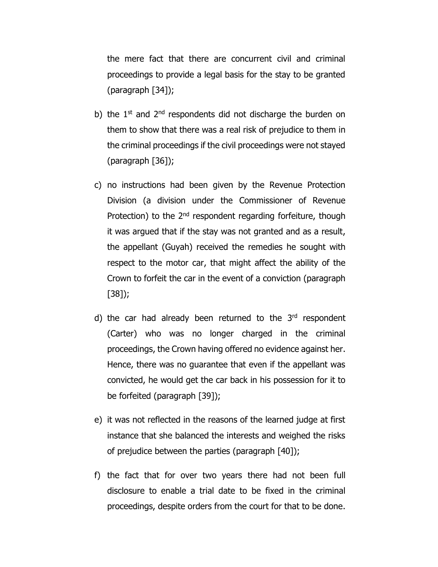the mere fact that there are concurrent civil and criminal proceedings to provide a legal basis for the stay to be granted (paragraph [34]);

- b) the  $1<sup>st</sup>$  and  $2<sup>nd</sup>$  respondents did not discharge the burden on them to show that there was a real risk of prejudice to them in the criminal proceedings if the civil proceedings were not stayed (paragraph [36]);
- c) no instructions had been given by the Revenue Protection Division (a division under the Commissioner of Revenue Protection) to the 2<sup>nd</sup> respondent regarding forfeiture, though it was argued that if the stay was not granted and as a result, the appellant (Guyah) received the remedies he sought with respect to the motor car, that might affect the ability of the Crown to forfeit the car in the event of a conviction (paragraph [38]);
- d) the car had already been returned to the 3<sup>rd</sup> respondent (Carter) who was no longer charged in the criminal proceedings, the Crown having offered no evidence against her. Hence, there was no guarantee that even if the appellant was convicted, he would get the car back in his possession for it to be forfeited (paragraph [39]);
- e) it was not reflected in the reasons of the learned judge at first instance that she balanced the interests and weighed the risks of prejudice between the parties (paragraph [40]);
- f) the fact that for over two years there had not been full disclosure to enable a trial date to be fixed in the criminal proceedings, despite orders from the court for that to be done.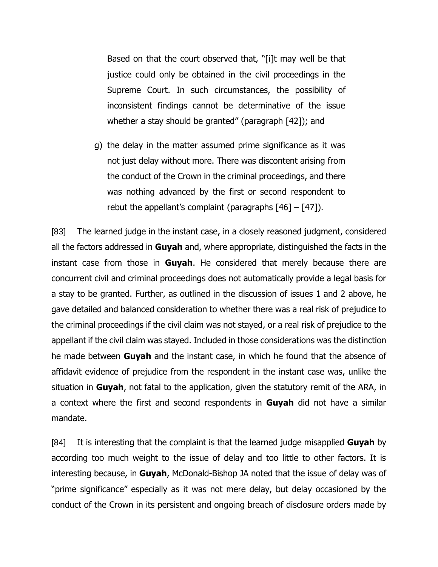Based on that the court observed that, "[i]t may well be that justice could only be obtained in the civil proceedings in the Supreme Court. In such circumstances, the possibility of inconsistent findings cannot be determinative of the issue whether a stay should be granted" (paragraph [42]); and

g) the delay in the matter assumed prime significance as it was not just delay without more. There was discontent arising from the conduct of the Crown in the criminal proceedings, and there was nothing advanced by the first or second respondent to rebut the appellant's complaint (paragraphs  $[46] - [47]$ ).

[83] The learned judge in the instant case, in a closely reasoned judgment, considered all the factors addressed in **Guyah** and, where appropriate, distinguished the facts in the instant case from those in **Guyah**. He considered that merely because there are concurrent civil and criminal proceedings does not automatically provide a legal basis for a stay to be granted. Further, as outlined in the discussion of issues 1 and 2 above, he gave detailed and balanced consideration to whether there was a real risk of prejudice to the criminal proceedings if the civil claim was not stayed, or a real risk of prejudice to the appellant if the civil claim was stayed. Included in those considerations was the distinction he made between **Guyah** and the instant case, in which he found that the absence of affidavit evidence of prejudice from the respondent in the instant case was, unlike the situation in **Guyah**, not fatal to the application, given the statutory remit of the ARA, in a context where the first and second respondents in **Guyah** did not have a similar mandate.

[84] It is interesting that the complaint is that the learned judge misapplied **Guyah** by according too much weight to the issue of delay and too little to other factors. It is interesting because, in **Guyah**, McDonald-Bishop JA noted that the issue of delay was of "prime significance" especially as it was not mere delay, but delay occasioned by the conduct of the Crown in its persistent and ongoing breach of disclosure orders made by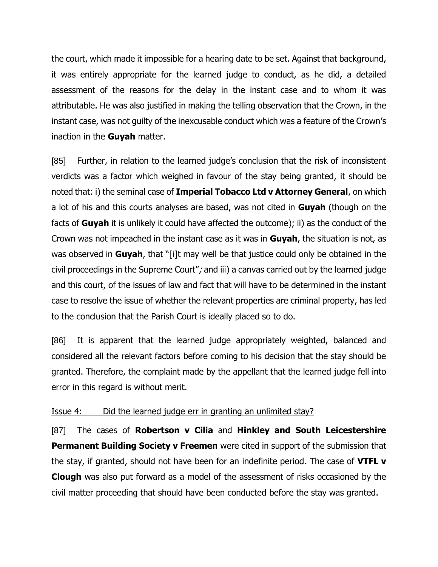the court, which made it impossible for a hearing date to be set. Against that background, it was entirely appropriate for the learned judge to conduct, as he did, a detailed assessment of the reasons for the delay in the instant case and to whom it was attributable. He was also justified in making the telling observation that the Crown, in the instant case, was not guilty of the inexcusable conduct which was a feature of the Crown's inaction in the **Guyah** matter.

[85] Further, in relation to the learned judge's conclusion that the risk of inconsistent verdicts was a factor which weighed in favour of the stay being granted, it should be noted that: i) the seminal case of **Imperial Tobacco Ltd v Attorney General**, on which a lot of his and this courts analyses are based, was not cited in **Guyah** (though on the facts of **Guyah** it is unlikely it could have affected the outcome); ii) as the conduct of the Crown was not impeached in the instant case as it was in **Guyah**, the situation is not, as was observed in **Guyah**, that "[i]t may well be that justice could only be obtained in the civil proceedings in the Supreme Court"; and iii) a canvas carried out by the learned judge and this court, of the issues of law and fact that will have to be determined in the instant case to resolve the issue of whether the relevant properties are criminal property, has led to the conclusion that the Parish Court is ideally placed so to do.

[86] It is apparent that the learned judge appropriately weighted, balanced and considered all the relevant factors before coming to his decision that the stay should be granted. Therefore, the complaint made by the appellant that the learned judge fell into error in this regard is without merit.

### Issue 4: Did the learned judge err in granting an unlimited stay?

[87] The cases of **Robertson v Cilia** and **Hinkley and South Leicestershire Permanent Building Society v Freemen** were cited in support of the submission that the stay, if granted, should not have been for an indefinite period. The case of **VTFL v Clough** was also put forward as a model of the assessment of risks occasioned by the civil matter proceeding that should have been conducted before the stay was granted.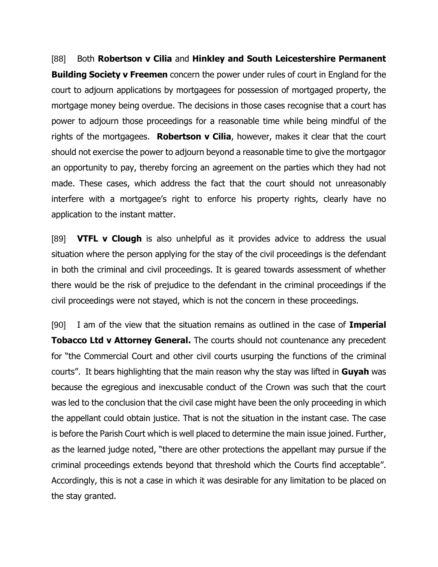[88] Both **Robertson v Cilia** and **Hinkley and South Leicestershire Permanent Building Society v Freemen** concern the power under rules of court in England for the court to adjourn applications by mortgagees for possession of mortgaged property, the mortgage money being overdue. The decisions in those cases recognise that a court has power to adjourn those proceedings for a reasonable time while being mindful of the rights of the mortgagees. **Robertson v Cilia**, however, makes it clear that the court should not exercise the power to adjourn beyond a reasonable time to give the mortgagor an opportunity to pay, thereby forcing an agreement on the parties which they had not made. These cases, which address the fact that the court should not unreasonably interfere with a mortgagee's right to enforce his property rights, clearly have no application to the instant matter.

[89] **VTFL v Clough** is also unhelpful as it provides advice to address the usual situation where the person applying for the stay of the civil proceedings is the defendant in both the criminal and civil proceedings. It is geared towards assessment of whether there would be the risk of prejudice to the defendant in the criminal proceedings if the civil proceedings were not stayed, which is not the concern in these proceedings.

[90] I am of the view that the situation remains as outlined in the case of **Imperial Tobacco Ltd v Attorney General.** The courts should not countenance any precedent for "the Commercial Court and other civil courts usurping the functions of the criminal courts". It bears highlighting that the main reason why the stay was lifted in **Guyah** was because the egregious and inexcusable conduct of the Crown was such that the court was led to the conclusion that the civil case might have been the only proceeding in which the appellant could obtain justice. That is not the situation in the instant case. The case is before the Parish Court which is well placed to determine the main issue joined. Further, as the learned judge noted, "there are other protections the appellant may pursue if the criminal proceedings extends beyond that threshold which the Courts find acceptable". Accordingly, this is not a case in which it was desirable for any limitation to be placed on the stay granted.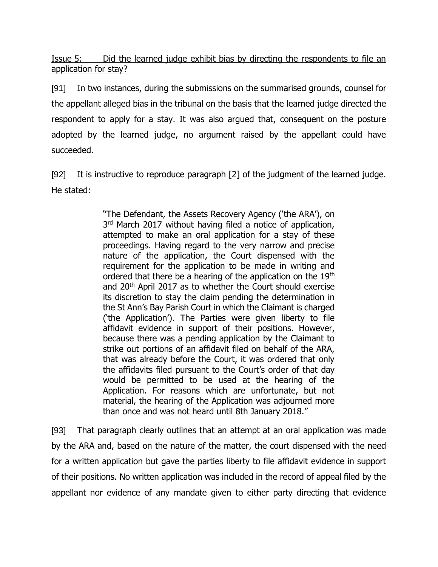Issue 5: Did the learned judge exhibit bias by directing the respondents to file an application for stay?

[91] In two instances, during the submissions on the summarised grounds, counsel for the appellant alleged bias in the tribunal on the basis that the learned judge directed the respondent to apply for a stay. It was also argued that, consequent on the posture adopted by the learned judge, no argument raised by the appellant could have succeeded.

[92] It is instructive to reproduce paragraph [2] of the judgment of the learned judge. He stated:

> "The Defendant, the Assets Recovery Agency ('the ARA'), on 3<sup>rd</sup> March 2017 without having filed a notice of application, attempted to make an oral application for a stay of these proceedings. Having regard to the very narrow and precise nature of the application, the Court dispensed with the requirement for the application to be made in writing and ordered that there be a hearing of the application on the 19th and 20th April 2017 as to whether the Court should exercise its discretion to stay the claim pending the determination in the St Ann's Bay Parish Court in which the Claimant is charged ('the Application'). The Parties were given liberty to file affidavit evidence in support of their positions. However, because there was a pending application by the Claimant to strike out portions of an affidavit filed on behalf of the ARA, that was already before the Court, it was ordered that only the affidavits filed pursuant to the Court's order of that day would be permitted to be used at the hearing of the Application. For reasons which are unfortunate, but not material, the hearing of the Application was adjourned more than once and was not heard until 8th January 2018."

[93] That paragraph clearly outlines that an attempt at an oral application was made by the ARA and, based on the nature of the matter, the court dispensed with the need for a written application but gave the parties liberty to file affidavit evidence in support of their positions. No written application was included in the record of appeal filed by the appellant nor evidence of any mandate given to either party directing that evidence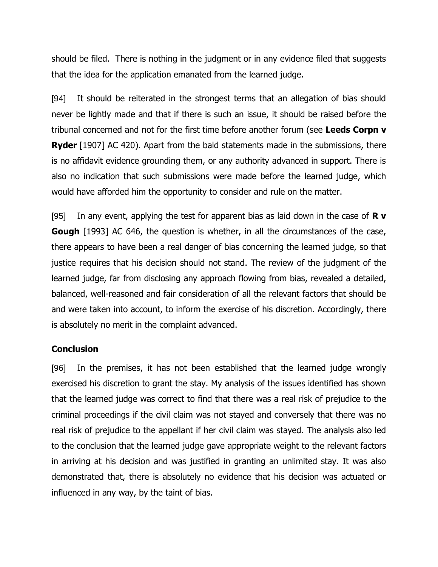should be filed. There is nothing in the judgment or in any evidence filed that suggests that the idea for the application emanated from the learned judge.

[94] It should be reiterated in the strongest terms that an allegation of bias should never be lightly made and that if there is such an issue, it should be raised before the tribunal concerned and not for the first time before another forum (see **Leeds Corpn v Ryder** [1907] AC 420). Apart from the bald statements made in the submissions, there is no affidavit evidence grounding them, or any authority advanced in support. There is also no indication that such submissions were made before the learned judge, which would have afforded him the opportunity to consider and rule on the matter.

[95] In any event, applying the test for apparent bias as laid down in the case of **R v Gough** [1993] AC 646, the question is whether, in all the circumstances of the case, there appears to have been a real danger of bias concerning the learned judge, so that justice requires that his decision should not stand. The review of the judgment of the learned judge, far from disclosing any approach flowing from bias, revealed a detailed, balanced, well-reasoned and fair consideration of all the relevant factors that should be and were taken into account, to inform the exercise of his discretion. Accordingly, there is absolutely no merit in the complaint advanced.

#### **Conclusion**

[96] In the premises, it has not been established that the learned judge wrongly exercised his discretion to grant the stay. My analysis of the issues identified has shown that the learned judge was correct to find that there was a real risk of prejudice to the criminal proceedings if the civil claim was not stayed and conversely that there was no real risk of prejudice to the appellant if her civil claim was stayed. The analysis also led to the conclusion that the learned judge gave appropriate weight to the relevant factors in arriving at his decision and was justified in granting an unlimited stay. It was also demonstrated that, there is absolutely no evidence that his decision was actuated or influenced in any way, by the taint of bias.